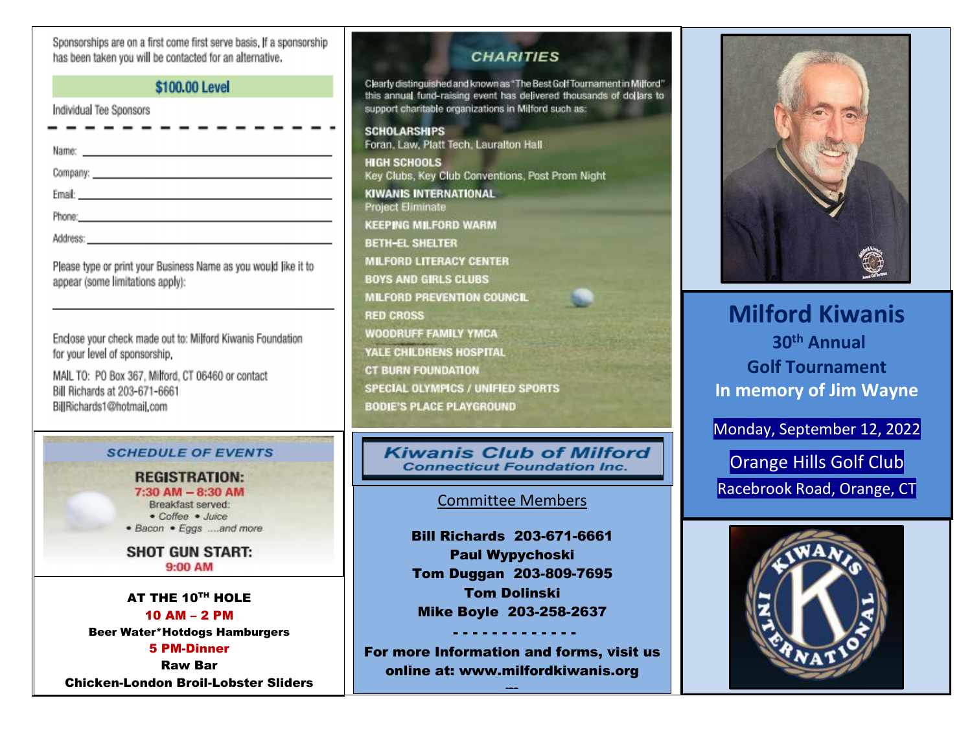Sponsorships are on a first come first serve basis. If a sponsorship has been taken you will be contacted for an alternative.

## \$100.00 Level

| Individual Tee Sponsors<br>- - - - - - - - - - - - -                                                                                                                                                                           |  |  |  |  |
|--------------------------------------------------------------------------------------------------------------------------------------------------------------------------------------------------------------------------------|--|--|--|--|
| Name: https://www.com/communications/communications/communications/communications/communications/communications/communications/communications/communications/communications/communications/communications/communications/commu |  |  |  |  |
|                                                                                                                                                                                                                                |  |  |  |  |
|                                                                                                                                                                                                                                |  |  |  |  |
| Phone: Phone: Phone: Phone: Phone: Phone: Phone: Phone: Phone: Phone: Phone: Phone: Phone: Phone: Phone: Phone: Phone: Phone: Phone: Phone: Phone: Phone: Phone: Phone: Phone: Phone: Phone: Phone: Phone: Phone: Phone: Phone |  |  |  |  |
|                                                                                                                                                                                                                                |  |  |  |  |

Please type or print your Business Name as you would like it to appear (some limitations apply):

Enclose your check made out to: Milford Kiwanis Foundation for your level of sponsorship.

MAIL TO: PO Box 367, Milford, CT 06460 or contact Bill Richards at 203-671-6661 BillRichards1@hotmail.com

#### **SCHEDULE OF EVENTS**

**REGISTRATION:**  $7:30$  AM  $- 8:30$  AM Breakfast served: • Coffee • Juice · Bacon · Eggs ....and more

**SHOT GUN START:** 9:00 AM

AT THE 10<sup>TH</sup> HOLE 10 AM – 2 PM Beer Water\*Hotdogs Hamburgers 5 PM-Dinner Raw Bar

Chicken-London Broil-Lobster Sliders

## **CHARITIES**

Clearly distinguished and known as "The Best Golf Tournament in Milford" this annual fund-raising event has delivered thousands of dollars to support charitable organizations in Milford such as:

**SCHOLARSHIPS** Foran, Law, Platt Tech, Lauralton Hall **HIGH SCHOOLS** Key Clubs, Key Club Conventions, Post Prom Night **KIWANIS INTERNATIONAL Project Eliminate KEEPING MILFORD WARM BETH-EL SHELTER MILFORD LITERACY CENTER BOYS AND GIRLS CLUBS MILFORD PREVENTION COUNCIL RED CROSS** WOODRUFF FAMILY YMCA YALE CHILDRENS HOSPITAL **CT BURN FOUNDATION SPECIAL OLYMPICS / UNIFIED SPORTS BODIE'S PLACE PLAYGROUND** 

#### **Kiwanis Club of Milford Connecticut Foundation Inc.**

## Committee Members

Bill Richards 203-671-6661 Paul Wypychoski Tom Duggan 203-809-7695 Tom Dolinski Mike Boyle 203-258-2637

For more Information and forms, visit us online at: www.milfordkiwanis.org

 $\rightarrow$   $\rightarrow$ 

- - - - - - - - - - - - -



# **Milford Kiwanis 30th Annual Golf Tournament In memory of Jim Wayne**

Monday, September 12, 2022

Orange Hills Golf Club Racebrook Road, Orange, CT